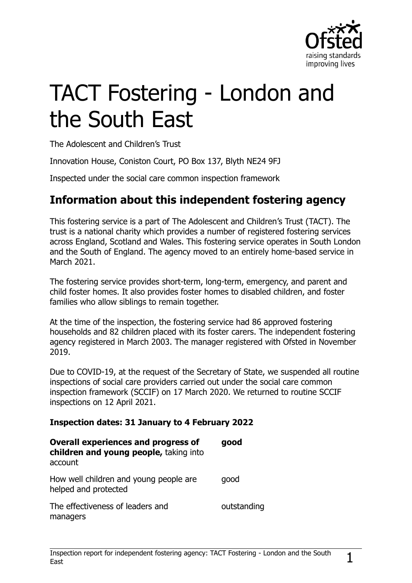

# TACT Fostering - London and the South East

The Adolescent and Children's Trust

Innovation House, Coniston Court, PO Box 137, Blyth NE24 9FJ

Inspected under the social care common inspection framework

## **Information about this independent fostering agency**

This fostering service is a part of The Adolescent and Children's Trust (TACT). The trust is a national charity which provides a number of registered fostering services across England, Scotland and Wales. This fostering service operates in South London and the South of England. The agency moved to an entirely home-based service in March 2021.

The fostering service provides short-term, long-term, emergency, and parent and child foster homes. It also provides foster homes to disabled children, and foster families who allow siblings to remain together.

At the time of the inspection, the fostering service had 86 approved fostering households and 82 children placed with its foster carers. The independent fostering agency registered in March 2003. The manager registered with Ofsted in November 2019.

Due to COVID-19, at the request of the Secretary of State, we suspended all routine inspections of social care providers carried out under the social care common inspection framework (SCCIF) on 17 March 2020. We returned to routine SCCIF inspections on 12 April 2021.

#### **Inspection dates: 31 January to 4 February 2022**

| <b>Overall experiences and progress of</b><br>children and young people, taking into<br>account | good        |
|-------------------------------------------------------------------------------------------------|-------------|
| How well children and young people are<br>helped and protected                                  | good        |
| The effectiveness of leaders and<br>managers                                                    | outstanding |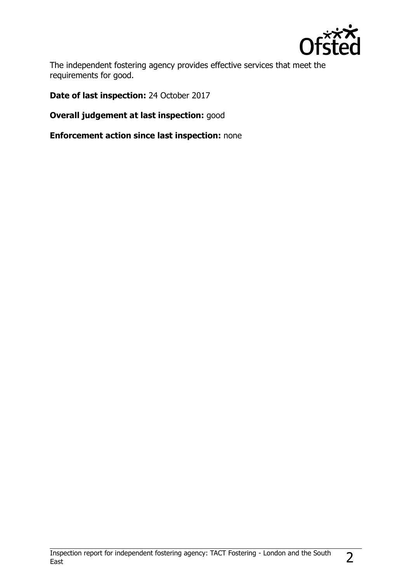

The independent fostering agency provides effective services that meet the requirements for good.

**Date of last inspection:** 24 October 2017

**Overall judgement at last inspection:** good

**Enforcement action since last inspection:** none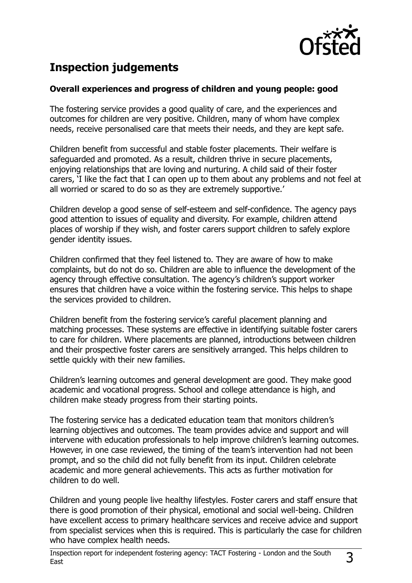

# **Inspection judgements**

#### **Overall experiences and progress of children and young people: good**

The fostering service provides a good quality of care, and the experiences and outcomes for children are very positive. Children, many of whom have complex needs, receive personalised care that meets their needs, and they are kept safe.

Children benefit from successful and stable foster placements. Their welfare is safeguarded and promoted. As a result, children thrive in secure placements, enjoying relationships that are loving and nurturing. A child said of their foster carers, 'I like the fact that I can open up to them about any problems and not feel at all worried or scared to do so as they are extremely supportive.'

Children develop a good sense of self-esteem and self-confidence. The agency pays good attention to issues of equality and diversity. For example, children attend places of worship if they wish, and foster carers support children to safely explore gender identity issues.

Children confirmed that they feel listened to. They are aware of how to make complaints, but do not do so. Children are able to influence the development of the agency through effective consultation. The agency's children's support worker ensures that children have a voice within the fostering service. This helps to shape the services provided to children.

Children benefit from the fostering service's careful placement planning and matching processes. These systems are effective in identifying suitable foster carers to care for children. Where placements are planned, introductions between children and their prospective foster carers are sensitively arranged. This helps children to settle quickly with their new families.

Children's learning outcomes and general development are good. They make good academic and vocational progress. School and college attendance is high, and children make steady progress from their starting points.

The fostering service has a dedicated education team that monitors children's learning objectives and outcomes. The team provides advice and support and will intervene with education professionals to help improve children's learning outcomes. However, in one case reviewed, the timing of the team's intervention had not been prompt, and so the child did not fully benefit from its input. Children celebrate academic and more general achievements. This acts as further motivation for children to do well.

Children and young people live healthy lifestyles. Foster carers and staff ensure that there is good promotion of their physical, emotional and social well-being. Children have excellent access to primary healthcare services and receive advice and support from specialist services when this is required. This is particularly the case for children who have complex health needs.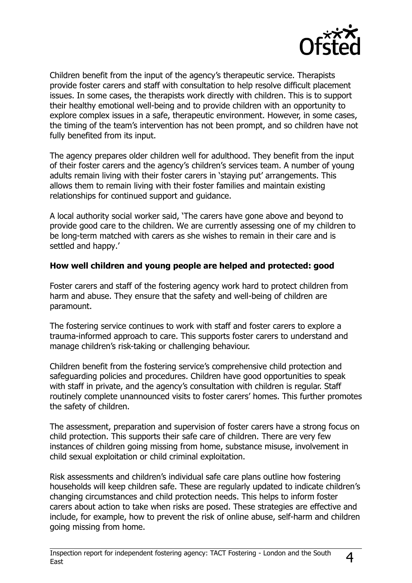

Children benefit from the input of the agency's therapeutic service. Therapists provide foster carers and staff with consultation to help resolve difficult placement issues. In some cases, the therapists work directly with children. This is to support their healthy emotional well-being and to provide children with an opportunity to explore complex issues in a safe, therapeutic environment. However, in some cases, the timing of the team's intervention has not been prompt, and so children have not fully benefited from its input.

The agency prepares older children well for adulthood. They benefit from the input of their foster carers and the agency's children's services team. A number of young adults remain living with their foster carers in 'staying put' arrangements. This allows them to remain living with their foster families and maintain existing relationships for continued support and guidance.

A local authority social worker said, 'The carers have gone above and beyond to provide good care to the children. We are currently assessing one of my children to be long-term matched with carers as she wishes to remain in their care and is settled and happy.'

#### **How well children and young people are helped and protected: good**

Foster carers and staff of the fostering agency work hard to protect children from harm and abuse. They ensure that the safety and well-being of children are paramount.

The fostering service continues to work with staff and foster carers to explore a trauma-informed approach to care. This supports foster carers to understand and manage children's risk-taking or challenging behaviour.

Children benefit from the fostering service's comprehensive child protection and safeguarding policies and procedures. Children have good opportunities to speak with staff in private, and the agency's consultation with children is regular. Staff routinely complete unannounced visits to foster carers' homes. This further promotes the safety of children.

The assessment, preparation and supervision of foster carers have a strong focus on child protection. This supports their safe care of children. There are very few instances of children going missing from home, substance misuse, involvement in child sexual exploitation or child criminal exploitation.

Risk assessments and children's individual safe care plans outline how fostering households will keep children safe. These are regularly updated to indicate children's changing circumstances and child protection needs. This helps to inform foster carers about action to take when risks are posed. These strategies are effective and include, for example, how to prevent the risk of online abuse, self-harm and children going missing from home.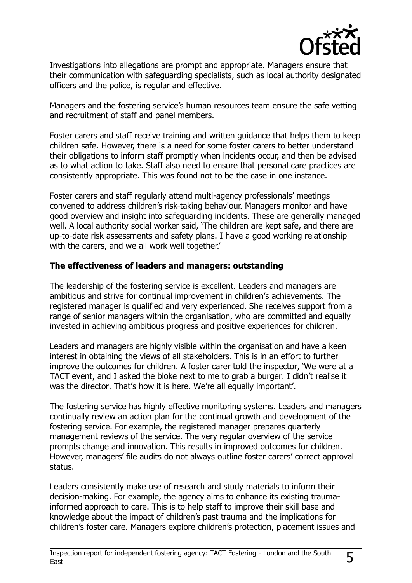

Investigations into allegations are prompt and appropriate. Managers ensure that their communication with safeguarding specialists, such as local authority designated officers and the police, is regular and effective.

Managers and the fostering service's human resources team ensure the safe vetting and recruitment of staff and panel members.

Foster carers and staff receive training and written guidance that helps them to keep children safe. However, there is a need for some foster carers to better understand their obligations to inform staff promptly when incidents occur, and then be advised as to what action to take. Staff also need to ensure that personal care practices are consistently appropriate. This was found not to be the case in one instance.

Foster carers and staff regularly attend multi-agency professionals' meetings convened to address children's risk-taking behaviour. Managers monitor and have good overview and insight into safeguarding incidents. These are generally managed well. A local authority social worker said, 'The children are kept safe, and there are up-to-date risk assessments and safety plans. I have a good working relationship with the carers, and we all work well together.'

#### **The effectiveness of leaders and managers: outstanding**

The leadership of the fostering service is excellent. Leaders and managers are ambitious and strive for continual improvement in children's achievements. The registered manager is qualified and very experienced. She receives support from a range of senior managers within the organisation, who are committed and equally invested in achieving ambitious progress and positive experiences for children.

Leaders and managers are highly visible within the organisation and have a keen interest in obtaining the views of all stakeholders. This is in an effort to further improve the outcomes for children. A foster carer told the inspector, 'We were at a TACT event, and I asked the bloke next to me to grab a burger. I didn't realise it was the director. That's how it is here. We're all equally important'.

The fostering service has highly effective monitoring systems. Leaders and managers continually review an action plan for the continual growth and development of the fostering service. For example, the registered manager prepares quarterly management reviews of the service. The very regular overview of the service prompts change and innovation. This results in improved outcomes for children. However, managers' file audits do not always outline foster carers' correct approval status.

Leaders consistently make use of research and study materials to inform their decision-making. For example, the agency aims to enhance its existing traumainformed approach to care. This is to help staff to improve their skill base and knowledge about the impact of children's past trauma and the implications for children's foster care. Managers explore children's protection, placement issues and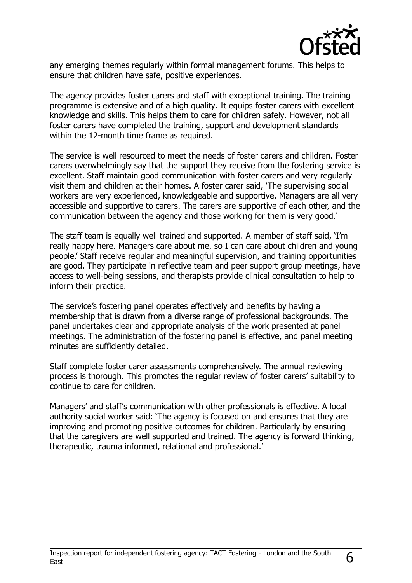

any emerging themes regularly within formal management forums. This helps to ensure that children have safe, positive experiences.

The agency provides foster carers and staff with exceptional training. The training programme is extensive and of a high quality. It equips foster carers with excellent knowledge and skills. This helps them to care for children safely. However, not all foster carers have completed the training, support and development standards within the 12-month time frame as required.

The service is well resourced to meet the needs of foster carers and children. Foster carers overwhelmingly say that the support they receive from the fostering service is excellent. Staff maintain good communication with foster carers and very regularly visit them and children at their homes. A foster carer said, 'The supervising social workers are very experienced, knowledgeable and supportive. Managers are all very accessible and supportive to carers. The carers are supportive of each other, and the communication between the agency and those working for them is very good.'

The staff team is equally well trained and supported. A member of staff said, 'I'm really happy here. Managers care about me, so I can care about children and young people.' Staff receive regular and meaningful supervision, and training opportunities are good. They participate in reflective team and peer support group meetings, have access to well-being sessions, and therapists provide clinical consultation to help to inform their practice.

The service's fostering panel operates effectively and benefits by having a membership that is drawn from a diverse range of professional backgrounds. The panel undertakes clear and appropriate analysis of the work presented at panel meetings. The administration of the fostering panel is effective, and panel meeting minutes are sufficiently detailed.

Staff complete foster carer assessments comprehensively. The annual reviewing process is thorough. This promotes the regular review of foster carers' suitability to continue to care for children.

Managers' and staff's communication with other professionals is effective. A local authority social worker said: 'The agency is focused on and ensures that they are improving and promoting positive outcomes for children. Particularly by ensuring that the caregivers are well supported and trained. The agency is forward thinking, therapeutic, trauma informed, relational and professional.'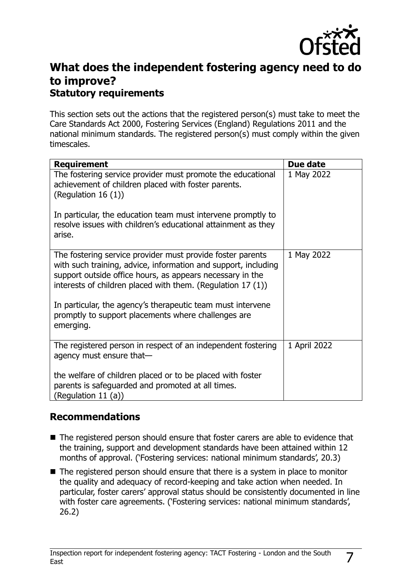

## **What does the independent fostering agency need to do to improve? Statutory requirements**

This section sets out the actions that the registered person(s) must take to meet the Care Standards Act 2000, Fostering Services (England) Regulations 2011 and the national minimum standards. The registered person(s) must comply within the given timescales.

| <b>Requirement</b>                                                                                                                                                                                                                                       | Due date     |
|----------------------------------------------------------------------------------------------------------------------------------------------------------------------------------------------------------------------------------------------------------|--------------|
| The fostering service provider must promote the educational<br>achievement of children placed with foster parents.<br>(Regulation 16 $(1)$ )                                                                                                             | 1 May 2022   |
| In particular, the education team must intervene promptly to<br>resolve issues with children's educational attainment as they<br>arise.                                                                                                                  |              |
| The fostering service provider must provide foster parents<br>with such training, advice, information and support, including<br>support outside office hours, as appears necessary in the<br>interests of children placed with them. (Regulation 17 (1)) | 1 May 2022   |
| In particular, the agency's therapeutic team must intervene<br>promptly to support placements where challenges are<br>emerging.                                                                                                                          |              |
| The registered person in respect of an independent fostering<br>agency must ensure that-                                                                                                                                                                 | 1 April 2022 |
| the welfare of children placed or to be placed with foster<br>parents is safeguarded and promoted at all times.<br>(Regulation 11 $(a)$ )                                                                                                                |              |

### **Recommendations**

- The registered person should ensure that foster carers are able to evidence that the training, support and development standards have been attained within 12 months of approval. ('Fostering services: national minimum standards', 20.3)
- The registered person should ensure that there is a system in place to monitor the quality and adequacy of record-keeping and take action when needed. In particular, foster carers' approval status should be consistently documented in line with foster care agreements. ('Fostering services: national minimum standards', 26.2)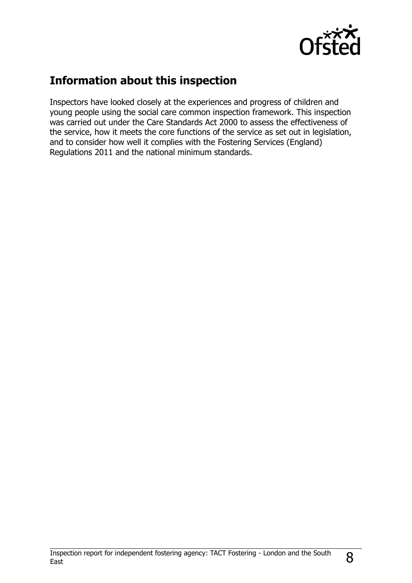

## **Information about this inspection**

Inspectors have looked closely at the experiences and progress of children and young people using the social care common inspection framework. This inspection was carried out under the Care Standards Act 2000 to assess the effectiveness of the service, how it meets the core functions of the service as set out in legislation, and to consider how well it complies with the Fostering Services (England) Regulations 2011 and the national minimum standards.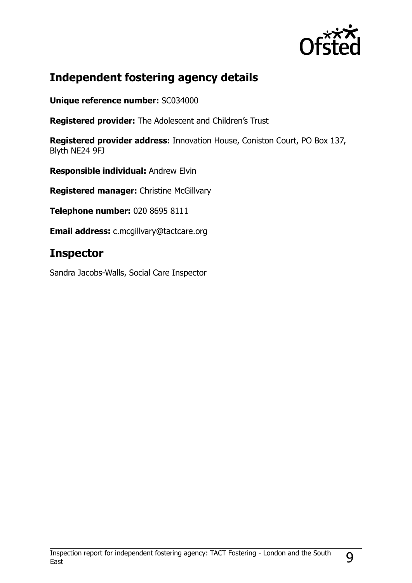

## **Independent fostering agency details**

**Unique reference number:** SC034000

**Registered provider:** The Adolescent and Children's Trust

**Registered provider address:** Innovation House, Coniston Court, PO Box 137, Blyth NE24 9FJ

**Responsible individual:** Andrew Elvin

**Registered manager:** Christine McGillvary

**Telephone number:** 020 8695 8111

**Email address:** c.mcgillvary@tactcare.org

## **Inspector**

Sandra Jacobs-Walls, Social Care Inspector